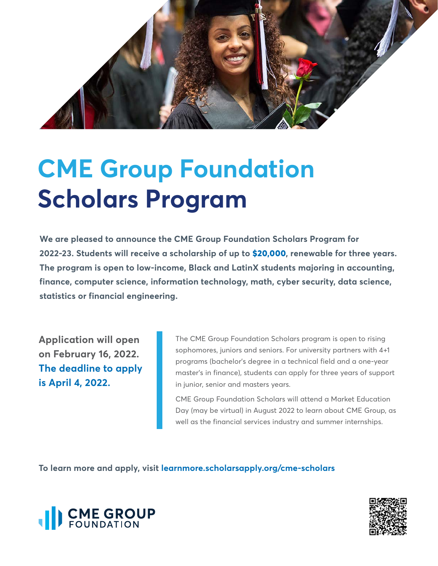

## **CME Group Foundation Scholars Program**

**We are pleased to announce the CME Group Foundation Scholars Program for 2022-23. Students will receive a scholarship of up to \$20,000, renewable for three years. The program is open to low-income, Black and LatinX students majoring in accounting, finance, computer science, information technology, math, cyber security, data science, statistics or financial engineering.** 

**Application will open on February 16, 2022. The deadline to apply is April 4, 2022.**

The CME Group Foundation Scholars program is open to rising sophomores, juniors and seniors. For university partners with 4+1 programs (bachelor's degree in a technical field and a one-year master's in finance), students can apply for three years of support in junior, senior and masters years.

CME Group Foundation Scholars will attend a Market Education Day (may be virtual) in August 2022 to learn about CME Group, as well as the financial services industry and summer internships.

**To learn more and apply, visit [learnmore.scholarsapply.org/cme-scholars](learnmore.scholarsapply.org/cme-scholars/)**